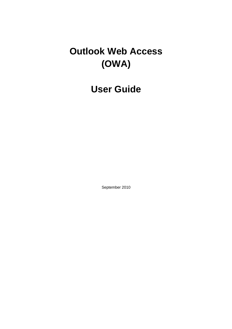# **Outlook Web Access (OWA)**

**User Guide**

September 2010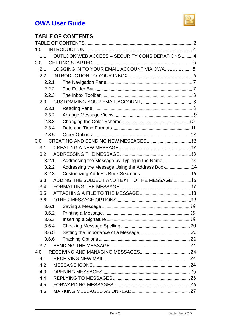

# **TABLE OF CONTENTS**

| 1.0           |       |                                                 |  |
|---------------|-------|-------------------------------------------------|--|
| 1.1           |       | OUTLOOK WEB ACCESS - SECURITY CONSIDERATIONS  4 |  |
| 2.0           |       |                                                 |  |
| 2.1           |       | LOGGING IN TO YOUR EMAIL ACCOUNT VIA OWA 5      |  |
| $2.2^{\circ}$ |       |                                                 |  |
|               | 2.2.1 |                                                 |  |
|               | 2.2.2 |                                                 |  |
|               | 2.2.3 |                                                 |  |
| 2.3           |       |                                                 |  |
|               | 2.3.1 |                                                 |  |
|               | 2.3.2 |                                                 |  |
|               | 2.3.3 |                                                 |  |
|               | 2.3.4 |                                                 |  |
|               | 2.3.5 |                                                 |  |
| 3.0           |       |                                                 |  |
| 3.1           |       |                                                 |  |
| 3.2           |       |                                                 |  |
|               | 3.2.1 | Addressing the Message by Typing in the Name13  |  |
|               | 3.2.2 | Addressing the Message Using the Address Book14 |  |
|               | 3.2.3 |                                                 |  |
| 3.3           |       | ADDING THE SUBJECT AND TEXT TO THE MESSAGE16    |  |
| 3.4           |       |                                                 |  |
| 3.5           |       |                                                 |  |
| 3.6           |       |                                                 |  |
|               | 3.6.1 |                                                 |  |
|               | 3.6.2 |                                                 |  |
|               | 3.6.3 |                                                 |  |
|               | 3.6.4 |                                                 |  |
|               | 3.6.5 |                                                 |  |
|               | 3.6.6 |                                                 |  |
| 3.7           |       |                                                 |  |
| 4.0           |       |                                                 |  |
| 4.1           |       |                                                 |  |
| 4.2           |       |                                                 |  |
| 4.3           |       |                                                 |  |
| 4.4           |       |                                                 |  |
| 4.5           |       |                                                 |  |
| 4.6           |       |                                                 |  |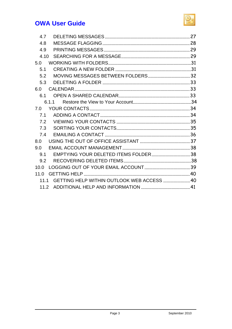

| 4.7                                             |  |
|-------------------------------------------------|--|
| 4.8                                             |  |
| 4.9                                             |  |
| 4.10                                            |  |
| 5.0                                             |  |
| 5.1                                             |  |
| 5.2                                             |  |
| 5.3                                             |  |
| 6.0                                             |  |
| 61                                              |  |
| 6.1.1                                           |  |
| 7.0                                             |  |
|                                                 |  |
|                                                 |  |
|                                                 |  |
|                                                 |  |
| 8.0                                             |  |
| 9.0                                             |  |
| 9.1                                             |  |
| 9.2                                             |  |
| 10.0                                            |  |
| 11.0                                            |  |
| 11.1 GETTING HELP WITHIN OUTLOOK WEB ACCESS  40 |  |
|                                                 |  |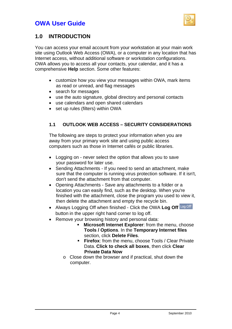

### **1.0 INTRODUCTION**

You can access your email account from your workstation at your main work site using Outlook Web Access (OWA), or a computer in any location that has Internet access, without additional software or workstation configurations. OWA allows you to access all your contacts, your calendar, and it has a comprehensive **Help** section. Some other features:

- customize how you view your messages within OWA, mark items as read or unread, and flag messages
- search for messages
- use the auto signature, global directory and personal contacts
- use calendars and open shared calendars
- set up rules (filters) within OWA

### **1.1 OUTLOOK WEB ACCESS – SECURITY CONSIDERATIONS**

The following are steps to protect your information when you are away from your primary work site and using public access computers such as those in Internet cafés or public libraries.

- Logging on never select the option that allows you to save your password for later use.
- Sending Attachments If you need to send an attachment, make sure that the computer is running virus protection software. If it isn't, don't send the attachment from that computer.
- Opening Attachments Save any attachments to a folder or a location you can easily find, such as the desktop. When you're finished with the attachment, close the program you used to view it, then delete the attachment and empty the recycle bin.
- Always Logging Off when finished Click the OWA **Log Off**  button in the upper right hand corner to log off.
- Remove your browsing history and personal data:
	- **Microsoft Internet Explorer**: from the menu, choose **Tools / Options**. In the **Temporary Internet files**  section, click **Delete Files**.
	- **Firefox:** from the menu, choose Tools / Clear Private Data. **Click to check all boxes**, then click **Clear Private Data Now**
	- o Close down the browser and if practical, shut down the computer.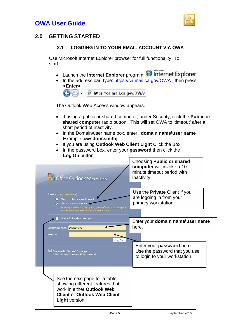

### **2.0 GETTING STARTED**

#### **2.1 LOGGING IN TO YOUR EMAIL ACCOUNT VIA OWA**

Use Microsoft Internet Explorer browser for full functionality. To start:

- Launch the Internet Explorer program: **C** Internet Explorer
- In the address bar, type: [https://ca.mail.ca.gov/OWA](https://ca.mail.ca.gov/), then press **<Enter>**



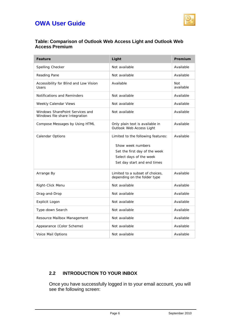

#### **Table: Comparison of Outlook Web Access Light and Outlook Web Access Premium**

| Feature                                                           | Light                                                                                                                                              | Premium                 |
|-------------------------------------------------------------------|----------------------------------------------------------------------------------------------------------------------------------------------------|-------------------------|
| Spelling Checker                                                  | Not available                                                                                                                                      | Available               |
| Reading Pane                                                      | Not available                                                                                                                                      | Available               |
| Accessibility for Blind and Low Vision<br>Users                   | Available                                                                                                                                          | <b>Not</b><br>available |
| Notifications and Reminders                                       | Not available                                                                                                                                      | Available               |
| Weekly Calendar Views                                             | Not available                                                                                                                                      | Available               |
| Windows SharePoint Services and<br>Windows file share Integration | Not available                                                                                                                                      | Available               |
| Compose Messages by Using HTML                                    | Only plain text is available in<br>Outlook Web Access Light                                                                                        | Available               |
| Calendar Options                                                  | Limited to the following features:<br>Show week numbers<br>Set the first day of the week<br>Select days of the week<br>Set day start and end times | Available               |
| Arrange By                                                        | Limited to a subset of choices,<br>depending on the folder type                                                                                    | Available               |
| Right-Click Menu                                                  | Not available                                                                                                                                      | Available               |
| Drag-and-Drop                                                     | Not available                                                                                                                                      | Available               |
| Explicit Logon                                                    | Not available                                                                                                                                      | Available               |
| Type-down Search                                                  | Not available                                                                                                                                      | Available               |
| Resource Mailbox Management                                       | Not available                                                                                                                                      | Available               |
| Appearance (Color Scheme)                                         | Not available                                                                                                                                      | Available               |
| Voice Mail Options                                                | Not available                                                                                                                                      | Available               |

### **2.2 INTRODUCTION TO YOUR INBOX**

Once you have successfully logged in to your email account, you will see the following screen: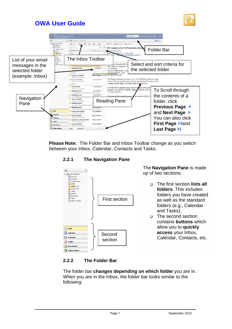



**Please Note:** The Folder Bar and Inbox Toolbar change as you switch between your Inbox, Calendar, Contacts and Tasks.

#### **2.2.1 The Navigation Pane**



#### **2.2.2 The Folder Bar**

The folder bar **changes depending on which folder** you are in. When you are in the Inbox, the folder bar looks similar to the following: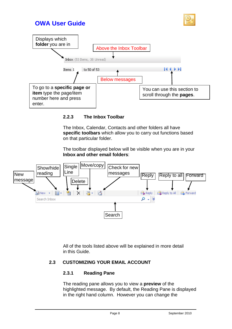



#### **2.2.3 The Inbox Toolbar**

The Inbox, Calendar, Contacts and other folders all have **specific toolbars** which allow you to carry out functions based on that particular folder.

The toolbar displayed below will be visible when you are in your **Inbox and other email folders**:



All of the tools listed above will be explained in more detail in this Guide.

#### **2.3 CUSTOMIZING YOUR EMAIL ACCOUNT**

#### **2.3.1 Reading Pane**

The reading pane allows you to view a **preview** of the highlighted message. By default, the Reading Pane is displayed in the right hand column. However you can change the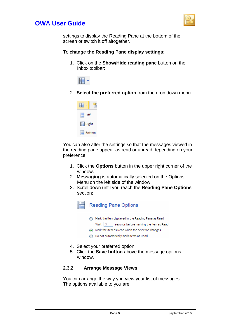

settings to display the Reading Pane at the bottom of the screen or switch it off altogether.

#### To **change the Reading Pane display settings**:

1. Click on the **Show/Hide reading pane** button on the Inbox toolbar:



2. **Select the preferred option** from the drop down menu:



You can also alter the settings so that the messages viewed in the reading pane appear as read or unread depending on your preference:

- 1. Click the **Options** button in the upper right corner of the window.
- 2. **Messaging** is automatically selected on the Options Menu on the left side of the window.
- 3. Scroll down until you reach the **Reading Pane Options** section:



- 4. Select your preferred option.
- 5. Click the **Save button** above the message options window.

#### **2.3.2 Arrange Message Views**

You can arrange the way you view your list of messages. The options available to you are: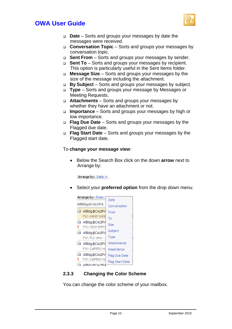

- **Date**  Sorts and groups your messages by date the messages were received.
- **Conversation Topic**  Sorts and groups your messages by conversation topic.
- □ **Sent From** Sorts and groups your messages by sender.
- **Sent To**  Sorts and groups your messages by recipient. This option is particularly useful in the Sent Items folder.
- **Message Size**  Sorts and groups your messages by the size of the message including the attachment.
- **By Subject**  Sorts and groups your messages by subject.
- **Type**  Sorts and groups your message by Messages or Meeting Requests.
- **Attachments**  Sorts and groups your messages by whether they have an attachment or not.
- **Importance**  Sorts and groups your messages by high or low importance.
- **Flag Due Date**  Sorts and groups your messages by the Flagged due date.
- **Flag Start Date**  Sorts and groups your messages by the Flagged start date.

#### To **change your message view**:

• Below the Search Box click on the down **arrow** next to Arrange by:

Arrange by: Date +

Select your **preferred option** from the drop down menu:



### **2.3.3 Changing the Color Scheme**

You can change the color scheme of your mailbox.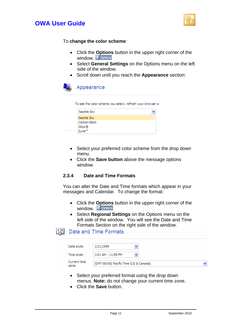



#### To **change the color scheme**:

- Click the **Options** button in the upper right corner of the window. E Options
- Select **General Settings** on the Options menu on the left side of the window.
- Scroll down until you reach the **Appearance** section:



| To see the color scheme you select, refresh your browser a |  |
|------------------------------------------------------------|--|
| Seattle Sky                                                |  |
| Seattle Sky                                                |  |
| Carbon Black                                               |  |
| Xbox®                                                      |  |

- Select your preferred color scheme from the drop down menu.
- Click the **Save button** above the message options window.

#### **2.3.4 Date and Time Formats**

Zune™

You can alter the Date and Time formats which appear in your messages and Calendar. To change the format:

- Click the **Options** button in the upper right corner of the window. Fortions
- Select **Regional Settings** on the Options menu on the left side of the window. You will see the Date and Time Formats Section on the right side of the window.

#### $\frac{1}{2}$ Date and Time Formats

| Date style:           | 1/21/1999                              |  |
|-----------------------|----------------------------------------|--|
| Time style:           | 1:01 AM - 11:59 PM                     |  |
| Current time<br>zone: | (GMT-08:00) Pacific Time (US & Canada) |  |

- Select your preferred format using the drop down menus. **Note:** do not change your current time zone.
- Click the **Save** button.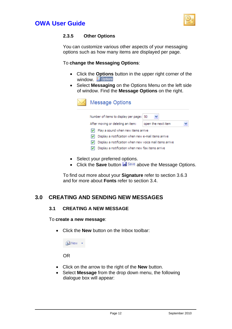



#### **2.3.5 Other Options**

You can customize various other aspects of your messaging options such as how many items are displayed per page.

#### To **change the Messaging Options**:

- Click the **Options** button in the upper right corner of the window. E Options
- Select **Messaging** on the Options Menu on the left side of window. Find the **Message Options** on the right.

|  | <b>Message Options</b>                                                                                         |                    |  |  |  |  |  |
|--|----------------------------------------------------------------------------------------------------------------|--------------------|--|--|--|--|--|
|  | Number of items to display per page:   50                                                                      |                    |  |  |  |  |  |
|  | After moving or deleting an item:                                                                              | open the next item |  |  |  |  |  |
|  | Play a sound when new items arrive                                                                             |                    |  |  |  |  |  |
|  | Display a notification when new e-mail items arrive<br>Display a notification when new voice mail items arrive |                    |  |  |  |  |  |
|  |                                                                                                                |                    |  |  |  |  |  |
|  | Display a notification when new fax items arrive                                                               |                    |  |  |  |  |  |

- Select your preferred options.
- Click the **Save** button **A** Save above the Message Options.

To find out more about your **Signature** refer to section 3.6.3 and for more about **Fonts** refer to section 3.4.

### **3.0 CREATING AND SENDING NEW MESSAGES**

#### **3.1 CREATING A NEW MESSAGE**

#### To **create a new message**:

• Click the **New** button on the Inbox toolbar:



- Click on the arrow to the right of the **New** button.
- Select **Message** from the drop down menu, the following dialogue box will appear: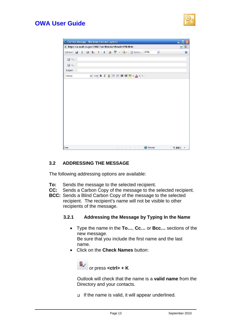

| a https://ca.mail.ca.gov/OWA/?ae=Item&a=New&t=IPM.Note |     |   |   |           |                                                     |             |   | 昌<br>× |
|--------------------------------------------------------|-----|---|---|-----------|-----------------------------------------------------|-------------|---|--------|
| Send H<br>$\textcolor{red}{\textbf{0}}$                | 图 & | ۷ | J | 2 3 - 3 - | a Options                                           | <b>HTML</b> | Y | 0      |
| <b>ED</b> To                                           |     |   |   |           |                                                     |             |   |        |
| <b>ED</b> Cc                                           |     |   |   |           |                                                     |             |   |        |
| Subject:                                               |     |   |   |           |                                                     |             |   |        |
| Tahoma                                                 |     |   |   |           | <u>v 10 v B I U</u>  三 三 律 律 <mark>シ · A ·</mark> ↓ |             |   |        |
|                                                        |     |   |   |           |                                                     |             |   |        |
|                                                        |     |   |   |           |                                                     |             |   |        |
|                                                        |     |   |   |           |                                                     |             |   |        |
|                                                        |     |   |   |           |                                                     |             |   |        |
|                                                        |     |   |   |           |                                                     |             |   |        |
|                                                        |     |   |   |           |                                                     |             |   |        |
|                                                        |     |   |   |           |                                                     |             |   |        |
|                                                        |     |   |   |           |                                                     |             |   |        |
|                                                        |     |   |   |           |                                                     |             |   |        |
|                                                        |     |   |   |           |                                                     |             |   |        |
|                                                        |     |   |   |           |                                                     |             |   |        |
|                                                        |     |   |   |           |                                                     |             |   |        |
|                                                        |     |   |   |           |                                                     |             |   |        |
|                                                        |     |   |   |           |                                                     |             |   |        |
|                                                        |     |   |   |           |                                                     |             |   |        |
|                                                        |     |   |   |           |                                                     |             |   |        |

#### **3.2 ADDRESSING THE MESSAGE**

The following addressing options are available:

- **To:** Sends the message to the selected recipient.
- **CC:** Sends a Carbon Copy of the message to the selected recipient.
- **BCC:** Sends a Blind Carbon Copy of the message to the selected recipient. The recipient's name will not be visible to other recipients of the message.

#### **3.2.1 Addressing the Message by Typing In the Name**

- Type the name in the **To…**, **Cc…** or **Bcc…** sections of the new message. Be sure that you include the first name and the last name.
- Click on the **Check Names** button:



Outlook will check that the name is a **valid name** from the Directory and your contacts.

 $\Box$  If the name is valid, it will appear underlined.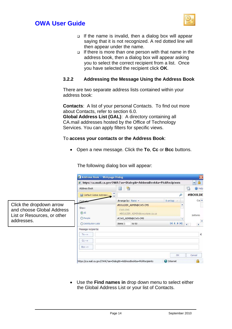

- $\Box$  If the name is invalid, then a dialog box will appear saying that it is not recognized. A red dotted line will then appear under the name.
- $\Box$  If there is more than one person with that name in the address book, then a dialog box will appear asking you to select the correct recipient from a list. Once you have selected the recipient click **OK**.

#### **3.2.2 Addressing the Message Using the Address Book**

There are two separate address lists contained within your address book:

**Contacts**: A list of your personal Contacts. To find out more about Contacts, refer to section 6.0. **Global Address List (GAL)**: A directory containing all CA.mail addresses hosted by the Office of Technology

Services. You can apply filters for specific views.

#### To **access your contacts or the Address Book**:

• Open a new message. Click the **To**, **Cc** or **Bcc** buttons.

The following dialog box will appear:

|                                                                                                    | <b>El Address Book -- Webpage Dialog</b>                                 |                                                                                                                                      |                          | $\vert x \vert$                                                           |
|----------------------------------------------------------------------------------------------------|--------------------------------------------------------------------------|--------------------------------------------------------------------------------------------------------------------------------------|--------------------------|---------------------------------------------------------------------------|
|                                                                                                    |                                                                          | <b>B</b> https://ca.mail.ca.gov/OWA/?ae=Dialog&t=AddressBook&a=PickRecipients                                                        |                          | $\triangleq$<br>$\vee$                                                    |
|                                                                                                    | <b>Address Book</b>                                                      | 譼<br>E                                                                                                                               |                          | 号<br>C Help                                                               |
|                                                                                                    | <b>ELI Default Global Address L., ELI</b>                                |                                                                                                                                      | #BOULDE                  |                                                                           |
|                                                                                                    | Contae                                                                   | Arrange by: Name +                                                                                                                   | $A$ on top $\rightarrow$ | $Coi$ $\rightarrow$                                                       |
| Click the dropdown arrow<br>and choose Global Address<br>List or Resources, or other<br>addresses. | Show:<br>$\odot$ All<br>People<br>O Distribution Lists                   | #BOULDER ADMIN@CWS-CMS<br>CWS-CMS<br>#BOULDER_ADMIN@cws.state.ca.us<br>#CWS_ADMIN@CWS-CMS<br>14 4 P H<br>to 50<br>Items <sub>1</sub> |                          | Inform<br>$\blacktriangledown$<br>$\overline{4}$<br>$\blacktriangleright$ |
|                                                                                                    | Message recipients:<br>$To \rightarrow$<br>$Cc \rightarrow$<br>$Bcc - y$ |                                                                                                                                      |                          |                                                                           |
|                                                                                                    |                                                                          |                                                                                                                                      | OK                       | Cancel                                                                    |
|                                                                                                    |                                                                          | https://ca.mail.ca.gov/OWA/?ae=Dialog&t=AddressBook&a=PickRecipients                                                                 | <b>D</b> Internet        |                                                                           |

• Use the **Find names in** drop down menu to select either the Global Address List or your list of Contacts.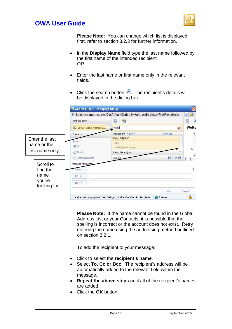



**Please Note:** You can change which list is displayed first, refer to section 3.2.3 for further information.

- In the **Display Name** field type the last name followed by the first name of the intended recipient. OR
- Enter the last name or first name only in the relevant fields.
- Click the search button  $\overline{P}$ . The recipient's details will be displayed in the dialog box:

|                  |                               |                                                                      | <b>B</b> https://ca.mail.ca.gov/OWA/?ae=Dialog&t=AddressBook&a=PickRecipients |        |  |  |
|------------------|-------------------------------|----------------------------------------------------------------------|-------------------------------------------------------------------------------|--------|--|--|
|                  | <b>Address Book</b>           | ie<br>氌                                                              | 른                                                                             |        |  |  |
|                  | [11] Default Global Address L | $\blacktriangle$<br>×<br>$\blacksquare$ welty                        |                                                                               |        |  |  |
|                  | Contacts                      | Arrange by: Name +                                                   | A on top                                                                      |        |  |  |
| Enter the last   | Show:                         | Welty, Bill@ARB                                                      |                                                                               |        |  |  |
| name or the      | $\odot$ All                   | ARB<br>wwelty@arb.ca.gov                                             |                                                                               |        |  |  |
| first name only. | O People                      | Welty, Nancy@VA                                                      |                                                                               | Ŀ      |  |  |
|                  | O Distribution Lists          | Items 1                                                              | ÞI<br>и                                                                       | ٠      |  |  |
| Scroll to        | Message recipients:           |                                                                      |                                                                               |        |  |  |
| find the         | $T_0 \rightarrow$             |                                                                      |                                                                               |        |  |  |
| name             | $Cc - y$                      |                                                                      |                                                                               |        |  |  |
| you're           | $Bcc - y$                     |                                                                      |                                                                               |        |  |  |
| looking for.     |                               |                                                                      | OK                                                                            | Cancel |  |  |
|                  |                               | https://ca.mail.ca.gov/OWA/?ae=Dialog&t=AddressBook&a=PickRecipients | <b>O</b> Internet                                                             |        |  |  |

**Please Note:** If the name cannot be found in the Global Address List or your Contacts, it is possible that the spelling is incorrect or the account does not exist. Retry entering the name using the addressing method outlined on section 3.2.1.

To add the recipient to your message:

- Click to select the **recipient's name**.
- Select **To, Cc or Bcc**. The recipient's address will be automatically added to the relevant field within the message.
- **Repeat the above steps** until all of the recipient's names are added.
- Click the **OK** button.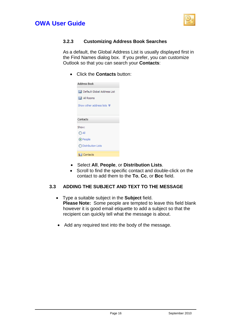



#### **3.2.3 Customizing Address Book Searches**

As a default, the Global Address List is usually displayed first in the Find Names dialog box. If you prefer, you can customize Outlook so that you can search your **Contacts**:

• Click the **Contacts** button:

| Address Book                           |
|----------------------------------------|
| <b>ILE Default Global Address List</b> |
| 图 All Rooms                            |
| Show other address lists ↓             |
|                                        |
| Contacts                               |
| Show:                                  |
| $\bigcap$ All                          |
| ⊙ People                               |
| ◯ Distribution Lists                   |
| l&≡l Contacts                          |

- Select **All**, **People**, or **Distribution Lists**.
- Scroll to find the specific contact and double-click on the contact to add them to the **To**, **Cc**, or **Bcc** field.

#### **3.3 ADDING THE SUBJECT AND TEXT TO THE MESSAGE**

- Type a suitable subject in the **Subject** field. **Please Note:** Some people are tempted to leave this field blank however it is good email etiquette to add a subject so that the recipient can quickly tell what the message is about.
- Add any required text into the body of the message.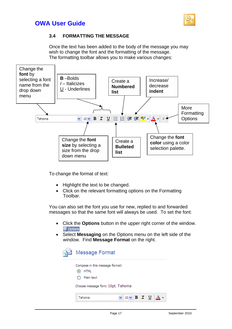

#### **3.4 FORMATTING THE MESSAGE**

Once the text has been added to the body of the message you may wish to change the font and the formatting of the message. The formatting toolbar allows you to make various changes:



To change the format of text:

- Highlight the text to be changed.
- Click on the relevant formatting options on the Formatting Toolbar.

You can also set the font you use for new, replied to and forwarded messages so that the same font will always be used. To set the font:

- Click the **Options** button in the upper right corner of the window. **E** Options
- Select **Messaging** on the Options menu on the left side of the window. Find **Message Format** on the right.

| E I | Message Format                                                                             |                                               |  |  |
|-----|--------------------------------------------------------------------------------------------|-----------------------------------------------|--|--|
|     | Compose in this message format:<br>HTML<br>Plain text<br>Choose message font: 10pt. Tahoma |                                               |  |  |
|     | Tahoma                                                                                     | $\vee$ 10 $\vee$ B I U $\overline{A}$ $\cdot$ |  |  |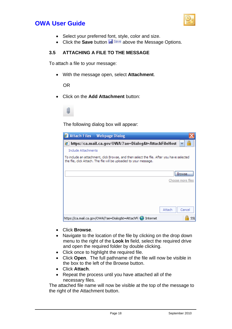

- Select your preferred font, style, color and size.
- Click the **Save** button **F** Save above the Message Options.

#### **3.5 ATTACHING A FILE TO THE MESSAGE**

To attach a file to your message:

• With the message open, select **Attachment**.

OR

• Click on the **Add Attachment** button:



The following dialog box will appear:

| Attach Files -- Webpage Dialog                                                                                                                                  |                   |
|-----------------------------------------------------------------------------------------------------------------------------------------------------------------|-------------------|
| https://ca.mail.ca.gov/OWA/?ae=Dialog&t=AttachFileHost                                                                                                          |                   |
| Include Attachments                                                                                                                                             |                   |
| To include an attachment, click Browse, and then select the file. After you have selected<br>the file, click Attach. The file will be uploaded to your message. |                   |
|                                                                                                                                                                 | Browse.           |
|                                                                                                                                                                 | Choose more files |
|                                                                                                                                                                 |                   |
|                                                                                                                                                                 |                   |
|                                                                                                                                                                 | Attach<br>Cancel  |
| https://ca.mail.ca.gov/OWA/?ae=Dialog&t=AttachFi<br>Internet                                                                                                    | SSL               |

- Click **Browse**.
- Navigate to the location of the file by clicking on the drop down menu to the right of the **Look In** field, select the required drive and open the required folder by double clicking.
- Click once to highlight the required file.
- Click **Open**. The full pathname of the file will now be visible in the box to the left of the Browse button.
- Click **Attach**.
- Repeat the process until you have attached all of the necessary files.

The attached file name will now be visible at the top of the message to the right of the Attachment button.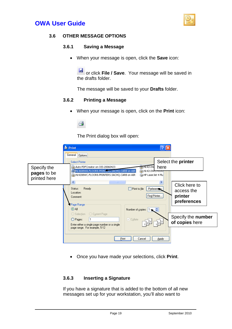



#### **3.6 OTHER MESSAGE OPTIONS**

#### **3.6.1 Saving a Message**

• When your message is open, click the **Save** icon:

Ы or click **File / Save**. Your message will be saved in the drafts folder.

The message will be saved to your **Drafts** folder.

#### **3.6.2 Printing a Message**

• When your message is open, click on the **Print** icon:

The Print dialog box will open:

|                                            | <b>&amp; Print</b><br>General   Options                                                                                                                                                                                                                           |  |
|--------------------------------------------|-------------------------------------------------------------------------------------------------------------------------------------------------------------------------------------------------------------------------------------------------------------------|--|
| Specify the<br>pages to be<br>printed here | Select the printer<br><b>Select Printer</b><br>Auto PDFCreator on OIS-20060423<br><b>EHL4213W</b><br>here<br>HL3608WA.FLOOR8.PRINTERS.SACHQ.CARB on AIR<br><u> 急</u> HL4213W <del>C.FLOO</del><br>HP LaserJet 4 Plu<br>HL4208WC.FLOOR8.PRINTERS.SACHQ.CARB on AIR |  |
|                                            | $\rightarrow$<br><b>TILL</b><br>Click here to<br>$\Box$ Print to file<br>Ready<br>Status:<br><b>Preferences</b><br>access the<br>Location:<br>Find Printer<br>printer<br>Comment:<br>preferences<br>Page Range                                                    |  |
|                                            | $\odot$ All<br>Number of copies: 1<br>○ Selection ○ Current Page<br>Specify the number<br>O Pages:<br>$\triangledown$ Collate<br>of copies here<br>Enter either a single page number or a single<br>page range. For example, 5-12                                 |  |
|                                            | Print<br>Cancel<br>Apply                                                                                                                                                                                                                                          |  |

• Once you have made your selections, click **Print**.

#### **3.6.3 Inserting a Signature**

If you have a signature that is added to the bottom of all new messages set up for your workstation, you'll also want to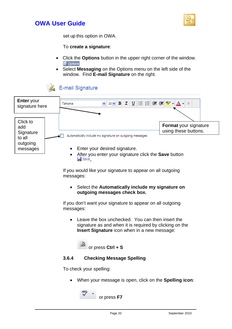



set up this option in OWA.

To **create a signature**:

- Click the **Options** button in the upper right corner of the window. **D** Options
- Select **Messaging** on the Options menu on the left side of the window. Find **E-mail Signature** on the right.





If you would like your signature to appear on all outgoing messages:

• Select the **Automatically include my signature on outgoing messages check box.**

If you don't want your signature to appear on all outgoing messages:

• Leave the box unchecked. You can then insert the signature as and when it is required by clicking on the **Insert Signature** icon when in a new message:

or press **Ctrl + S**

#### **3.6.4 Checking Message Spelling**

To check your spelling:

• When your message is open, click on the **Spelling icon**:

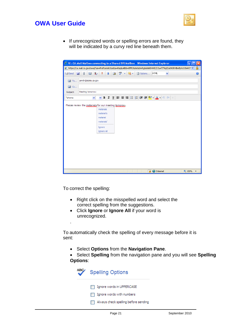

• If unrecognized words or spelling errors are found, they will be indicated by a curvy red line beneath them.

| 2 https://ca.mail.ca.gov/owa/?ae=PreFormAction&a=ReplyAll&t=IPM.Note&id=RgAAAAB444ILDJuwT79qd2aXHGRHBwBpVcU1lwhIS →<br>$\frac{ABG}{2}$<br>: Options<br><b>HTML</b><br>Ы<br>$\overrightarrow{a}$<br>$\geq$ -<br>0<br>&,<br><b>IEN</b> Send<br>10<br>图<br>×<br>$\star$<br>jsmith@state.ca.gov<br>图 To<br>图 Cc<br>Meeting tomorrow<br>Subject:<br>Tahoma<br>×<br>Please review the materiels for our meeting tomorow.<br>materials<br>materiel's<br>materiel<br>materials'<br>Ignore<br>Ignore All | C RE: CA.Mail Mailbox connecting to a Shared DIR Mailbox - Windows Internet Explorer |  |  |
|-------------------------------------------------------------------------------------------------------------------------------------------------------------------------------------------------------------------------------------------------------------------------------------------------------------------------------------------------------------------------------------------------------------------------------------------------------------------------------------------------|--------------------------------------------------------------------------------------|--|--|
|                                                                                                                                                                                                                                                                                                                                                                                                                                                                                                 |                                                                                      |  |  |
|                                                                                                                                                                                                                                                                                                                                                                                                                                                                                                 |                                                                                      |  |  |
|                                                                                                                                                                                                                                                                                                                                                                                                                                                                                                 |                                                                                      |  |  |
|                                                                                                                                                                                                                                                                                                                                                                                                                                                                                                 |                                                                                      |  |  |
|                                                                                                                                                                                                                                                                                                                                                                                                                                                                                                 |                                                                                      |  |  |
|                                                                                                                                                                                                                                                                                                                                                                                                                                                                                                 |                                                                                      |  |  |
|                                                                                                                                                                                                                                                                                                                                                                                                                                                                                                 |                                                                                      |  |  |

To correct the spelling:

.

- Right click on the misspelled word and select the correct spelling from the suggestions.
- Click **Ignore** or **Ignore All** if your word is unrecognized.

To automatically check the spelling of every message before it is sent:

- Select **Options** from the **Navigation Pane**.
- Select **Spelling** from the navigation pane and you will see **Spelling Options**:

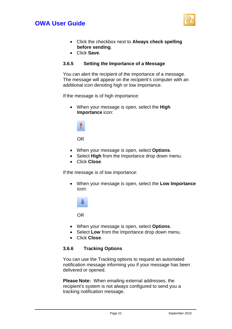

- Click the checkbox next to **Always check spelling before sending**.
- Click **Save**.

#### **3.6.5 Setting the Importance of a Message**

You can alert the recipient of the importance of a message. The message will appear on the recipient's computer with an additional icon denoting high or low importance.

If the message is of high importance:

• When your message is open, select the **High Importance** icon:



OR

- When your message is open, select **Options**.
- Select **High** from the Importance drop down menu.
- Click **Close**.

If the message is of low importance:

• When your message is open, select the **Low Importance** icon:



OR

- When your message is open, select **Options**.
- Select **Low** from the Importance drop down menu.
- Click **Close**.

#### **3.6.6 Tracking Options**

You can use the Tracking options to request an automated notification message informing you if your message has been delivered or opened.

**Please Note:** When emailing external addresses, the recipient's system is not always configured to send you a tracking notification message.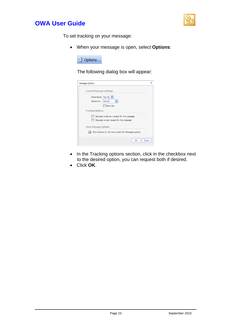



To set tracking on your message:

• When your message is open, select **Options**:



The following dialog box will appear:

| Message Options                                            | × |
|------------------------------------------------------------|---|
| <b>Current Message Settings</b>                            |   |
| Importance   Normal V                                      |   |
| Normal<br>Sensitivity<br>v                                 |   |
| Show Bcc                                                   |   |
| <b>Tracking Options</b>                                    |   |
| Request a delivery receipt for this message                |   |
| Request a read receipt for this message                    |   |
| <b>More Message Options</b>                                |   |
| e<br>Click Options on the main screen for Message options. |   |
|                                                            |   |

- In the Tracking options section, click in the checkbox next to the desired option, you can request both if desired.
- Click **OK**.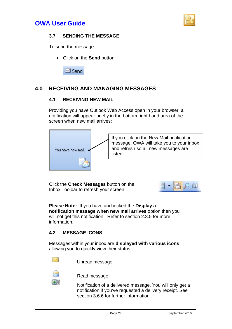



#### **3.7 SENDING THE MESSAGE**

To send the message:

• Click on the **Send** button:



### **4.0 RECEIVING AND MANAGING MESSAGES**

#### **4.1 RECEIVING NEW MAIL**

Providing you have Outlook Web Access open in your browser, a notification will appear briefly in the bottom right hand area of the screen when new mail arrives:



If you click on the New Mail notification message, OWA will take you to your inbox and refresh so all new messages are listed.

Click the **Check Messages** button on the Inbox Toolbar to refresh your screen.



**Please Note:** If you have unchecked the **Display a notification message when new mail arrives** option then you will not get this notification. Refer to section 2.3.5 for more information.

#### **4.2 MESSAGE ICONS**

Messages within your inbox are **displayed with various icons** allowing you to quickly view their status:



Unread message



Read message

Notification of a delivered message. You will only get a notification if you've requested a delivery receipt. See section 3.6.6 for further information.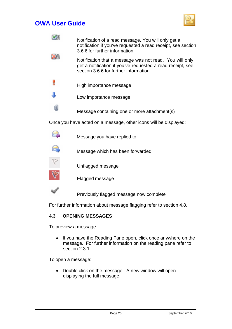

|    | Notification of a read message. You will only get a<br>notification if you've requested a read receipt, see section<br>3.6.6 for further information.           |
|----|-----------------------------------------------------------------------------------------------------------------------------------------------------------------|
|    | Notification that a message was not read. You will only<br>get a notification if you've requested a read receipt, see<br>section 3.6.6 for further information. |
|    | High importance message                                                                                                                                         |
|    | Low importance message                                                                                                                                          |
| IJ | Message containing one or more attachment(s)                                                                                                                    |
|    | Once you have acted on a message, other icons will be displayed:                                                                                                |
|    | Message you have replied to                                                                                                                                     |
|    | Message which has been forwarded                                                                                                                                |
|    | Unflagged message                                                                                                                                               |
|    | Flagged message                                                                                                                                                 |
|    | Previously flagged message now complete                                                                                                                         |

For further information about message flagging refer to section 4.8.

#### **4.3 OPENING MESSAGES**

To preview a message:

• If you have the Reading Pane open, click once anywhere on the message. For further information on the reading pane refer to section 2.3.1.

To open a message:

• Double click on the message. A new window will open displaying the full message.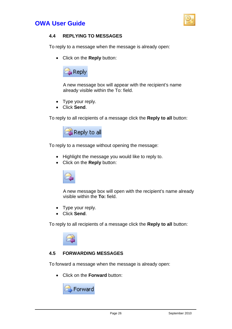



#### **4.4 REPLYING TO MESSAGES**

To reply to a message when the message is already open:

• Click on the **Reply** button:



A new message box will appear with the recipient's name already visible within the To: field.

- Type your reply.
- Click **Send**.

To reply to all recipients of a message click the **Reply to all** button:



To reply to a message without opening the message:

- Highlight the message you would like to reply to.
- Click on the **Reply** button:



A new message box will open with the recipient's name already visible within the **To:** field.

- Type your reply.
- Click **Send**.

To reply to all recipients of a message click the **Reply to all** button:



#### **4.5 FORWARDING MESSAGES**

To forward a message when the message is already open:

• Click on the **Forward** button:

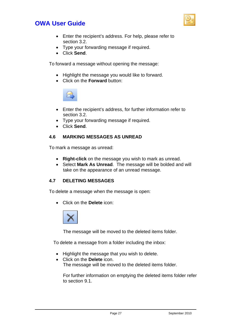

- Enter the recipient's address. For help, please refer to section 3.2.
- Type your forwarding message if required.
- Click **Send**.

To forward a message without opening the message:

- Highlight the message you would like to forward.
- Click on the **Forward** button:



- Enter the recipient's address, for further information refer to section 3.2.
- Type your forwarding message if required.
- Click **Send**.

#### **4.6 MARKING MESSAGES AS UNREAD**

To mark a message as unread:

- **Right-click** on the message you wish to mark as unread.
- Select **Mark As Unread**. The message will be bolded and will take on the appearance of an unread message.

#### **4.7 DELETING MESSAGES**

To delete a message when the message is open:

• Click on the **Delete** icon:



The message will be moved to the deleted items folder.

To delete a message from a folder including the inbox:

- Highlight the message that you wish to delete.
- Click on the **Delete** icon. The message will be moved to the deleted items folder.

For further information on emptying the deleted items folder refer to section 9.1.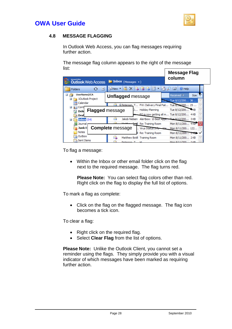



#### **4.8 MESSAGE FLAGGING**

In Outlook Web Access, you can flag messages requiring further action.

The message flag column appears to the right of the message list:

| Alcreagh Office<br><b>Outlook Web Access</b>               | $\blacksquare$ Inbox (Messages $\blacktriangleright$ )        | <b>Message Flag</b><br>column                  |
|------------------------------------------------------------|---------------------------------------------------------------|------------------------------------------------|
| $\hat{\phantom{a}}$<br>$\ddot{\phantom{1}}$<br>Folders     | Ċ.<br><b>EL'INew</b>                                          | <sup>2</sup> Help                              |
| UserName@CA                                                | <b>Unflagged</b> message                                      | Received V<br>Size:                            |
| 1Outlook Project<br>H                                      |                                                               | Y<br>$\overline{16}$ Tue 8/12/200 36           |
| Calendar                                                   | <b>Il Peterson, T FW: Delivery Final Fail Tue 8/13/200 25</b> | v                                              |
| Cont<br>H<br>lΩ≡l<br><b>Flagged</b> message<br><b>Dele</b> | Holiday Planning<br>J.                                        | v<br>Tue 8/12/200 4KB                          |
| Drai                                                       |                                                               | v<br>EO is now getting all m Tue 8/12/200 4KB  |
| Inbox $(54)$<br>Ŧ                                          | Jakob Nielsen                                                 | v<br>Alertbox: 10 Best Appli Tue 8/12/200 3 KB |
| Journal                                                    | <b>Petil</b> Re: Training Room                                | v<br>Mon 8/11/200 4KB                          |
| Junk E-                                                    | <b>Complete</b> message<br>Virus Status Info                  | Mon 8/11/200 122<br>$M_{\odot}$                |
| <b>Notes</b>                                               | Re: Training Room                                             | Mon 8/11/200 2KB                               |
| Outbox                                                     | Matthew Botill Training Room                                  | v<br>Mon 8/11/200 2 KB                         |
| <b>Sent Items</b>                                          |                                                               | Men 0/11/200<br>n izt                          |

To flag a message:

• Within the Inbox or other email folder click on the flag next to the required message. The flag turns red.

**Please Note:** You can select flag colors other than red. Right click on the flag to display the full list of options.

To mark a flag as complete:

• Click on the flag on the flagged message. The flag icon becomes a tick icon.

To clear a flag:

- Right click on the required flag.
- Select **Clear Flag** from the list of options.

**Please Note:** Unlike the Outlook Client, you cannot set a reminder using the flags. They simply provide you with a visual indicator of which messages have been marked as requiring further action.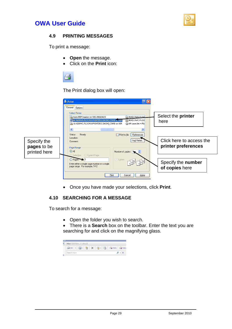



#### **4.9 PRINTING MESSAGES**

To print a message:

- **Open** the message.
- Click on the **Print** icon:



The Print dialog box will open:

|                                            | Print<br>General   Options<br><b>Select Printer</b><br>Select the printer<br>Auto PDFCreator on OIS-20060423<br><b>ELHL4213WA.FLOOL</b><br>HL3608WA.FLOOR8.PRINTERS.SACHQ.CARB on AIR<br>ELHL4213WC.FLOO<br>here<br>HP Laser Jet 4 Plu<br>HL4208WC.FLOOR8.PRINTERS.SACHO.CARB on AIR |
|--------------------------------------------|--------------------------------------------------------------------------------------------------------------------------------------------------------------------------------------------------------------------------------------------------------------------------------------|
| Specify the<br>pages to be<br>printed here | <b>STATE</b><br>Ready<br>$\Box$ Print to file<br>Status:<br>Preferences<br>Location:<br>Find Printer<br>Click here to access the<br>Comment:<br>printer preferences<br>Page Range<br>$\odot$ All<br>Number of copies: 1                                                              |
|                                            | Selection Current Page<br>$\boxed{\checkmark}$ Collate<br>Pages:<br>Specify the number<br>Enter either a single page number or a single<br>page range. For example, 5-12<br>of copies here<br>Print<br>Cancel<br>Apply                                                               |

• Once you have made your selections, click **Print**.

#### **4.10 SEARCHING FOR A MESSAGE**

To search for a message:

- Open the folder you wish to search.
- There is a **Search** box on the toolbar. Enter the text you are searching for and click on the magnifying glass.

| K  | Inbox (326 Items, 2 Unread) |  |       |       |
|----|-----------------------------|--|-------|-------|
|    |                             |  | Reply | Reply |
| ×. | Search Inbox                |  |       |       |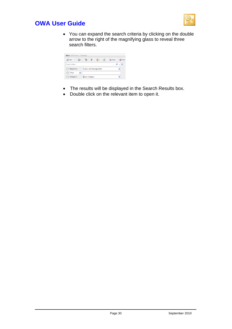

• You can expand the search criteria by clicking on the double arrow to the right of the magnifying glass to reveal three search filters.

| Inbox (327 Items, 3 Unread) |                                                                                                   |  |
|-----------------------------|---------------------------------------------------------------------------------------------------|--|
| New -                       | $\mathbb{R}$ · $\mathbb{R}$ $\times$ $\mathbb{R}$ · $\mathbb{R}$<br><b>B</b> Reply <b>B</b> Reply |  |
| Search Inbox                |                                                                                                   |  |
| Results in:                 | Subject and message body                                                                          |  |
| From                        |                                                                                                   |  |
| Category:                   | <b>Blue Category</b>                                                                              |  |

- The results will be displayed in the Search Results box.
- Double click on the relevant item to open it.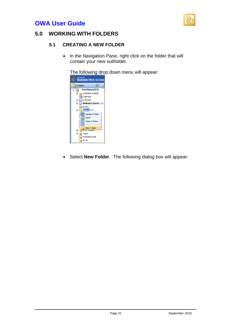

### **5.0 WORKING WITH FOLDERS**

#### **5.1 CREATING A NEW FOLDER**

• In the Navigation Pane, right click on the folder that will contain your new subfolder.

The following drop down menu will appear:



• Select **New Folder**. The following dialog box will appear: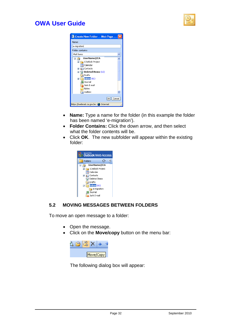

| <sup>2</sup> Create New Folder -- Web Page                                                                                                                                                       |
|--------------------------------------------------------------------------------------------------------------------------------------------------------------------------------------------------|
| Name:                                                                                                                                                                                            |
| e-migration                                                                                                                                                                                      |
| Folder contains:                                                                                                                                                                                 |
| Mail Items                                                                                                                                                                                       |
| UserName@CA<br>Ξ<br>1 Outlook Project<br>E<br>Calendar<br>Contacts<br>H<br>Deleted Items (12)<br>$\boxplus$<br>Drafts<br>Inbox <sup>(61)</sup><br>Ŧ<br>Journal<br>Junk E-mail<br>Notes<br>Outbox |
| Cancel<br>ЮK                                                                                                                                                                                     |
| https://webmail.ca.gov/ex <b>C</b> Internet                                                                                                                                                      |

- **Name:** Type a name for the folder (in this example the folder has been named 'e-migration').
- **Folder Contains:** Click the down arrow, and then select what the folder contents will be.
- Click **OK**. The new subfolder will appear within the existing folder:



#### **5.2 MOVING MESSAGES BETWEEN FOLDERS**

To move an open message to a folder:

- Open the message.
- Click on the **Move/copy** button on the menu bar:



The following dialog box will appear: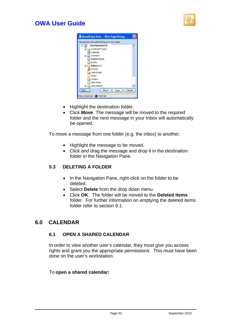



- Highlight the destination folder.
- Click **Move**. The message will be moved to the required folder and the next message in your Inbox will automatically be opened.

To move a message from one folder (e.g. the inbox) to another:

- Highlight the message to be moved.
- Click and drag the message and drop it in the destination folder in the Navigation Pane.

#### **5.3 DELETING A FOLDER**

- In the Navigation Pane, right-click on the folder to be deleted.
- Select **Delete** from the drop down menu.
- Click **OK**. The folder will be moved to the **Deleted Items** folder. For further information on emptying the deleted items folder refer to section 9.1.

#### **6.0 CALENDAR**

#### **6.1 OPEN A SHARED CALENDAR**

In order to view another user's calendar, they must give you access rights and grant you the appropriate permissions. This must have been done on the user's workstation.

#### To **open a shared calendar:**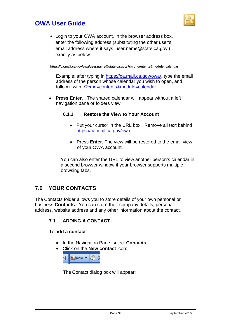



• Login to your OWA account. In the browser address box, enter the following address (substituting the other user's email address where it says 'user.name@state.ca.gov') exactly as below:

**https://ca.mail.ca.gov/owa/user.name@state.ca.gov/?cmd=contents&module=calendar** 

Example: after typing in [https://ca.mail.ca.gov/owa/,](https://ca.mail.ca.gov/owa/) type the email address of the person whose calendar you wish to open, and follow it with: /?cmd=contents&module=calendar.

• **Press Enter**. The shared calendar will appear without a left navigation pane or folders view.

#### **6.1.1 Restore the View to Your Account**

- Put your cursor in the URL box. Remove all text behind <https://ca.mail.ca.gov/owa>.
- Press **Enter**. The view will be restored to the email view of your OWA account.

You can also enter the URL to view another person's calendar in a second browser window if your browser supports multiple browsing tabs.

### **7.0 YOUR CONTACTS**

The Contacts folder allows you to store details of your own personal or business **Contacts**. You can store their company details, personal address, website address and any other information about the contact.

#### **7.1 ADDING A CONTACT**

To **add a contact**:

- In the Navigation Pane, select **Contacts**.
- Click on the **New contact** icon:



The Contact dialog box will appear: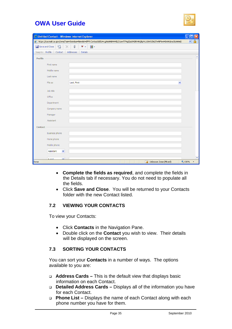

|                  |                       | C Untitled Contact - Windows Internet Explorer                                                                               |        |
|------------------|-----------------------|------------------------------------------------------------------------------------------------------------------------------|--------|
|                  |                       | https://ca.mail.ca.gov/owa/?ae=Item&a=New&t=IPM.Contact&fId=LgAAAAB444ILDJuwT79qd2aXHGRHAQBpVcU1lwhIS62TwNF6wl4DAAGms3IsAAAD |        |
| Save and Close   | 日<br>х                | $\textcolor{red}{\textbf{0}}$<br>$\blacksquare$ -<br>$\mathbf{v}$ .                                                          |        |
| Jump to: Profile | Contact               | Addresses<br><b>Details</b>                                                                                                  |        |
| <b>Profile</b>   |                       |                                                                                                                              | ۸      |
|                  | First name            |                                                                                                                              |        |
|                  | Middle name           |                                                                                                                              |        |
|                  | Last name             |                                                                                                                              |        |
|                  | File as               | Last, First<br>v                                                                                                             |        |
|                  | Job title             |                                                                                                                              |        |
|                  | Office                |                                                                                                                              |        |
|                  | Department            |                                                                                                                              |        |
|                  | Company name          |                                                                                                                              |        |
|                  | Manager               |                                                                                                                              |        |
|                  | Assistant             |                                                                                                                              |        |
| Contact          |                       |                                                                                                                              |        |
|                  | <b>Business phone</b> |                                                                                                                              |        |
|                  | Home phone            |                                                                                                                              |        |
|                  | Mobile phone          |                                                                                                                              |        |
|                  | ×<br>Assistant        |                                                                                                                              |        |
|                  | E mail                |                                                                                                                              |        |
| Done             |                       | Unknown Zone (Mixed)                                                                                                         | € 100% |

- **Complete the fields as required**, and complete the fields in the Details tab if necessary. You do not need to populate all the fields.
- Click **Save and Close**. You will be returned to your Contacts folder with the new Contact listed.

#### **7.2 VIEWING YOUR CONTACTS**

To view your Contacts:

- Click **Contacts** in the Navigation Pane.
- Double click on the **Contact** you wish to view. Their details will be displayed on the screen.

#### **7.3 SORTING YOUR CONTACTS**

You can sort your **Contacts** in a number of ways. The options available to you are:

- **Address Cards** This is the default view that displays basic information on each Contact.
- **Detailed Address Cards** Displays all of the information you have for each Contact.
- **Phone List** Displays the name of each Contact along with each phone number you have for them.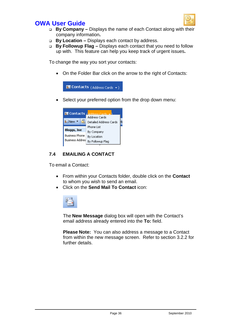

- **By Company** Displays the name of each Contact along with their company information**.**
- **By Location** Displays each contact by address.
- **By Followup Flag** Displays each contact that you need to follow up with. This feature can help you keep track of urgent issues**.**

To change the way you sort your contacts:

• On the Folder Bar click on the arrow to the right of Contacts:



Select your preferred option from the drop down menu:



### **7.4 EMAILING A CONTACT**

To email a Contact:

- From within your Contacts folder, double click on the **Contact** to whom you wish to send an email.
- Click on the **Send Mail To Contact** icon:



The **New Message** dialog box will open with the Contact's email address already entered into the **To:** field.

**Please Note:** You can also address a message to a Contact from within the new message screen. Refer to section 3.2.2 for further details.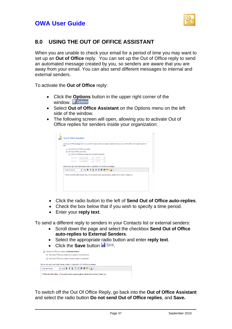

### **8.0 USING THE OUT OF OFFICE ASSISTANT**

When you are unable to check your email for a period of time you may want to set up an **Out of Office** reply. You can set up the Out of Office reply to send an automated message created by you, so senders are aware that you are away from your email. You can also send different messages to internal and external senders.

To activate the **Out of Office** reply:

- Click the **Options** button in the upper right corner of the **Window.** El Options
- Select **Out of Office Assistant** on the Options menu on the left side of the window.
- The following screen will open, allowing you to activate Out of Office replies for senders inside your organization:

|                                                                                                                     | Do not send Out of Office auto-reples                         |   |         |  |  |  |
|---------------------------------------------------------------------------------------------------------------------|---------------------------------------------------------------|---|---------|--|--|--|
| Send Out of Office auto-replies                                                                                     |                                                               |   |         |  |  |  |
|                                                                                                                     | Send Out of Office auto-replies only during this time period: |   |         |  |  |  |
| Start time:                                                                                                         | Mon 9/27/2010                                                 |   | 1:00 PM |  |  |  |
| End time:                                                                                                           | Tue 9/28/2010                                                 | v | 1:00 PM |  |  |  |
| Send an auto-reply once to each sender inside my organization with the following message:<br><b>Times New Roman</b> | <b>∨ 10 ∨ B I U   ⊟ 目 律 律 <mark>シ   A  </mark> ↓</b>          |   |         |  |  |  |
|                                                                                                                     |                                                               |   |         |  |  |  |
| I will be out of the office on jury duty. If you need to reach someone please call the Service Desk. Thank you      |                                                               |   |         |  |  |  |

- Click the radio button to the left of **Send Out of Office auto-replies**.
- Check the box below that if you wish to specify a time period.
- Enter your **reply text**.

To send a different reply to senders in your Contacts list or external senders:

- Scroll down the page and select the checkbox **Send Out of Office auto-replies to External Senders**.
- Select the appropriate radio button and enter **reply text**.
- Click the **Save** button **.** Save

| M | Send Out of Office auto-replies to External Senders                                        |
|---|--------------------------------------------------------------------------------------------|
|   | Send Out of Office auto-replies only to senders in my Contacts list                        |
|   | Send Out of Office auto-replies to anyone outside my organization                          |
|   | Send an auto-reply once to each sender outside my organization with the following message: |
|   | <b>▽ 10 ▽ B Ⅰ U   日 日 建 建 <mark>シ - A -</mark> ▽  </b><br><b>Times New Roman</b>           |
|   |                                                                                            |

To switch off the Out Of Office Reply, go back into the **Out of Office Assistant** and select the radio button **Do not send Out of Office replies**, and **Save.**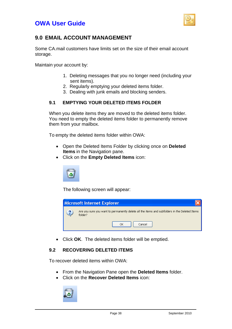

### **9.0 EMAIL ACCOUNT MANAGEMENT**

Some CA.mail customers have limits set on the size of their email account storage.

Maintain your account by:

- 1. Deleting messages that you no longer need (including your sent items).
- 2. Regularly emptying your deleted items folder.
- 3. Dealing with junk emails and blocking senders.

#### **9.1 EMPTYING YOUR DELETED ITEMS FOLDER**

When you delete items they are moved to the deleted items folder. You need to empty the deleted items folder to permanently remove them from your mailbox.

To empty the deleted items folder within OWA:

- Open the Deleted Items Folder by clicking once on **Deleted Items** in the Navigation pane.
- Click on the **Empty Deleted Items** icon:



The following screen will appear:



• Click **OK**. The deleted items folder will be emptied.

#### **9.2 RECOVERING DELETED ITEMS**

To recover deleted items within OWA:

- From the Navigation Pane open the **Deleted Items** folder.
- Click on the **Recover Deleted Items** icon:

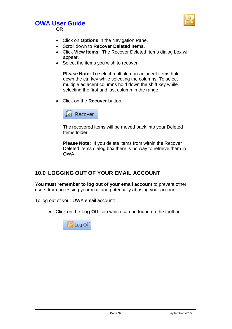

OR

- Click on **Options** in the Navigation Pane.
- Scroll down to **Recover Deleted Items**.
- Click **View Items**. The Recover Deleted Items dialog box will appear.
- Select the items you wish to recover.

**Please Note:** To select multiple non-adjacent items hold down the ctrl key while selecting the columns. To select multiple adjacent columns hold down the shift key while selecting the first and last column in the range.

• Click on the **Recover** button:



The recovered items will be moved back into your Deleted Items folder.

**Please Note:** If you delete items from within the Recover Deleted Items dialog box there is no way to retrieve them in OWA.

### **10.0 LOGGING OUT OF YOUR EMAIL ACCOUNT**

**You must remember to log out of your email account** to prevent other users from accessing your mail and potentially abusing your account.

To log out of your OWA email account:

• Click on the **Log Off** icon which can be found on the toolbar:

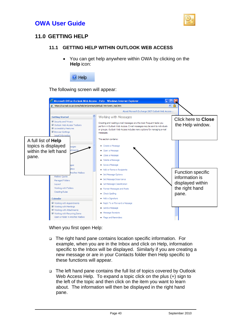



### **11.0 GETTING HELP**

#### **11.1 GETTING HELP WITHIN OUTLOOK WEB ACCESS**

• You can get help anywhere within OWA by clicking on the **Help** icon:



#### The following screen will appear:



When you first open Help:

- The right hand pane contains location specific information. For example, when you are in the Inbox and click on Help, information specific to the Inbox will be displayed. Similarly if you are creating a new message or are in your Contacts folder then Help specific to these functions will appear.
- The left hand pane contains the full list of topics covered by Outlook Web Access Help. To expand a topic click on the plus (+) sign to the left of the topic and then click on the item you want to learn about. The information will then be displayed in the right hand pane.